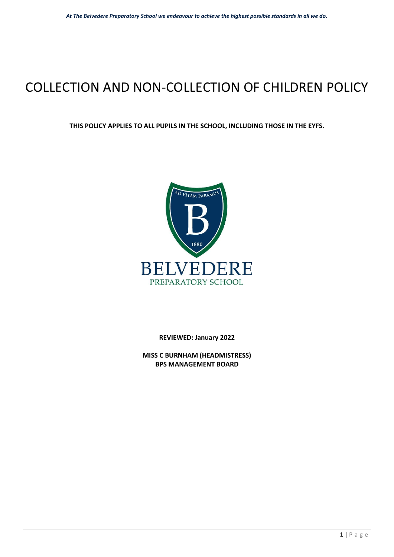# COLLECTION AND NON-COLLECTION OF CHILDREN POLICY

#### **THIS POLICY APPLIES TO ALL PUPILS IN THE SCHOOL, INCLUDING THOSE IN THE EYFS.**



**REVIEWED: January 2022** 

**MISS C BURNHAM (HEADMISTRESS) BPS MANAGEMENT BOARD**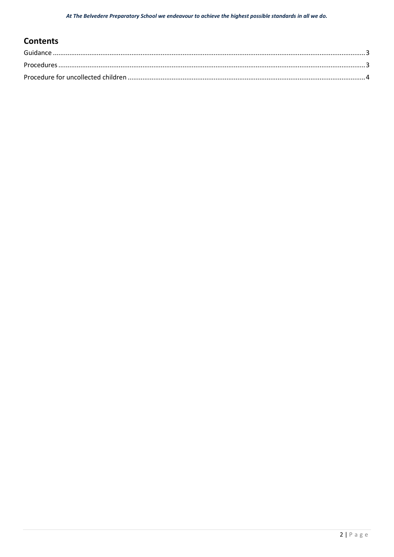## **Contents**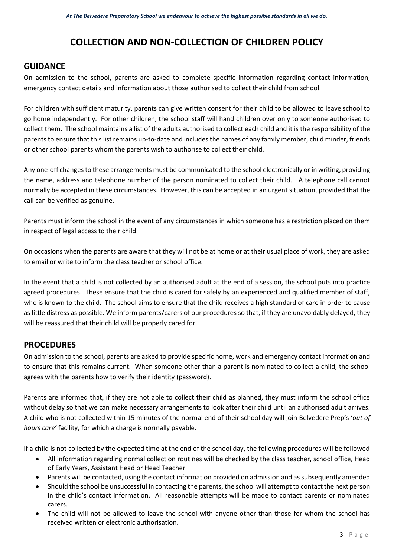## **COLLECTION AND NON-COLLECTION OF CHILDREN POLICY**

#### <span id="page-2-0"></span>**GUIDANCE**

On admission to the school, parents are asked to complete specific information regarding contact information, emergency contact details and information about those authorised to collect their child from school.

For children with sufficient maturity, parents can give written consent for their child to be allowed to leave school to go home independently. For other children, the school staff will hand children over only to someone authorised to collect them. The school maintains a list of the adults authorised to collect each child and it is the responsibility of the parents to ensure that this list remains up-to-date and includes the names of any family member, child minder, friends or other school parents whom the parents wish to authorise to collect their child.

Any one-off changes to these arrangements must be communicated to the school electronically or in writing, providing the name, address and telephone number of the person nominated to collect their child. A telephone call cannot normally be accepted in these circumstances. However, this can be accepted in an urgent situation, provided that the call can be verified as genuine.

Parents must inform the school in the event of any circumstances in which someone has a restriction placed on them in respect of legal access to their child.

On occasions when the parents are aware that they will not be at home or at their usual place of work, they are asked to email or write to inform the class teacher or school office.

In the event that a child is not collected by an authorised adult at the end of a session, the school puts into practice agreed procedures. These ensure that the child is cared for safely by an experienced and qualified member of staff, who is known to the child. The school aims to ensure that the child receives a high standard of care in order to cause as little distress as possible. We inform parents/carers of our procedures so that, if they are unavoidably delayed, they will be reassured that their child will be properly cared for.

### <span id="page-2-1"></span>**PROCEDURES**

On admission to the school, parents are asked to provide specific home, work and emergency contact information and to ensure that this remains current. When someone other than a parent is nominated to collect a child, the school agrees with the parents how to verify their identity (password).

Parents are informed that, if they are not able to collect their child as planned, they must inform the school office without delay so that we can make necessary arrangements to look after their child until an authorised adult arrives. A child who is not collected within 15 minutes of the normal end of their school day will join Belvedere Prep's '*out of hours care'* facility, for which a charge is normally payable.

If a child is not collected by the expected time at the end of the school day, the following procedures will be followed

- All information regarding normal collection routines will be checked by the class teacher, school office, Head of Early Years, Assistant Head or Head Teacher
- Parents will be contacted, using the contact information provided on admission and as subsequently amended
- Should the school be unsuccessful in contacting the parents, the school will attempt to contact the next person in the child's contact information. All reasonable attempts will be made to contact parents or nominated carers.
- The child will not be allowed to leave the school with anyone other than those for whom the school has received written or electronic authorisation.